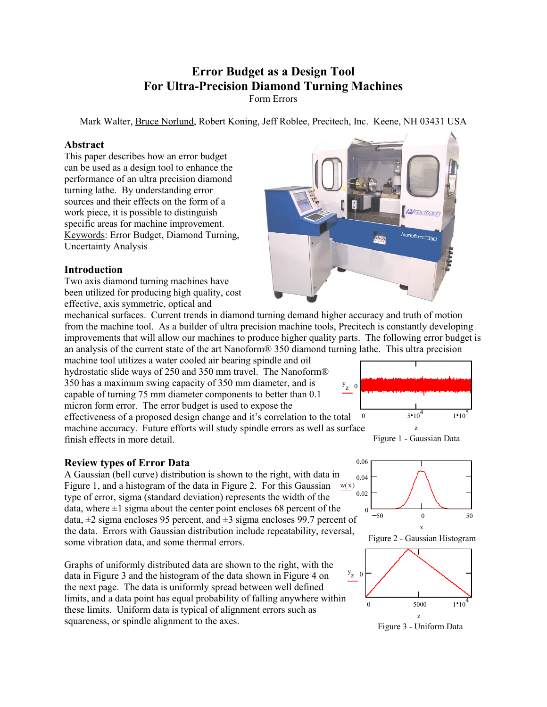# **Error Budget as a Design Tool For Ultra-Precision Diamond Turning Machines**

Form Errors

Mark Walter, Bruce Norlund, Robert Koning, Jeff Roblee, Precitech, Inc. Keene, NH 03431 USA

#### **Abstract**

This paper describes how an error budget can be used as a design tool to enhance the performance of an ultra precision diamond turning lathe. By understanding error sources and their effects on the form of a work piece, it is possible to distinguish specific areas for machine improvement. Keywords: Error Budget, Diamond Turning, Uncertainty Analysis

# **Introduction**

Two axis diamond turning machines have been utilized for producing high quality, cost effective, axis symmetric, optical and

mechanical surfaces. Current trends in diamond turning demand higher accuracy and truth of motion from the machine tool. As a builder of ultra precision machine tools, Precitech is constantly developing improvements that will allow our machines to produce higher quality parts. The following error budget is an analysis of the current state of the art Nanoform® 350 diamond turning lathe. This ultra precision

machine tool utilizes a water cooled air bearing spindle and oil hydrostatic slide ways of 250 and 350 mm travel. The Nanoform® 350 has a maximum swing capacity of 350 mm diameter, and is capable of turning 75 mm diameter components to better than 0.1 micron form error. The error budget is used to expose the

effectiveness of a proposed design change and it's correlation to the total machine accuracy. Future efforts will study spindle errors as well as surface finish effects in more detail.

# **Review types of Error Data**

 $w(x)$ A Gaussian (bell curve) distribution is shown to the right, with data in Figure 1, and a histogram of the data in Figure 2. For this Gaussian type of error, sigma (standard deviation) represents the width of the data, where  $\pm 1$  sigma about the center point encloses 68 percent of the data,  $\pm 2$  sigma encloses 95 percent, and  $\pm 3$  sigma encloses 99.7 percent of the data. Errors with Gaussian distribution include repeatability, reversal, some vibration data, and some thermal errors.

Graphs of uniformly distributed data are shown to the right, with the data in Figure 3 and the histogram of the data shown in Figure 4 on the next page. The data is uniformly spread between well defined limits, and a data point has equal probability of falling anywhere within these limits. Uniform data is typical of alignment errors such as squareness, or spindle alignment to the axes.









Figure 2 - Gaussian Histogram



Figure 3 - Uniform Data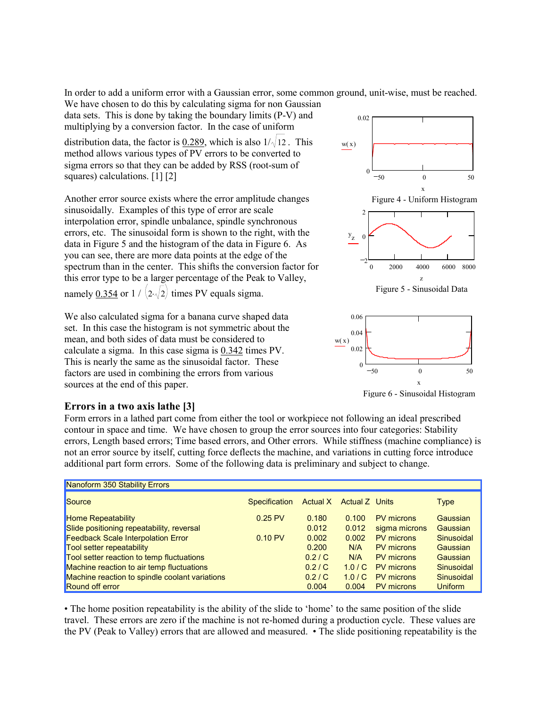In order to add a uniform error with a Gaussian error, some common ground, unit-wise, must be reached. We have chosen to do this by calculating sigma for non Gaussian

data sets. This is done by taking the boundary limits (P-V) and multiplying by a conversion factor. In the case of uniform

distribution data, the factor is  $0.289$ , which is also  $1/\sqrt{12}$ . This method allows various types of PV errors to be converted to sigma errors so that they can be added by RSS (root-sum of squares) calculations. [1] [2]

Another error source exists where the error amplitude changes sinusoidally. Examples of this type of error are scale interpolation error, spindle unbalance, spindle synchronous errors, etc. The sinusoidal form is shown to the right, with the data in Figure 5 and the histogram of the data in Figure 6. As you can see, there are more data points at the edge of the spectrum than in the center. This shifts the conversion factor for this error type to be a larger percentage of the Peak to Valley, namely <u>0.354</u> or  $1 / (2\sqrt{2})$  times PV equals sigma.

We also calculated sigma for a banana curve shaped data set. In this case the histogram is not symmetric about the mean, and both sides of data must be considered to calculate a sigma. In this case sigma is 0.342 times PV. This is nearly the same as the sinusoidal factor. These factors are used in combining the errors from various sources at the end of this paper.

# **Errors in a two axis lathe [3]**

50 0 50 0 0.02 Figure 4 - Uniform Histogram  $w(x)$ x 0 2000 4000 6000 8000 2 0  $\mathfrak{D}$ y z z





Figure 6 - Sinusoidal Histogram

Form errors in a lathed part come from either the tool or workpiece not following an ideal prescribed contour in space and time. We have chosen to group the error sources into four categories: Stability errors, Length based errors; Time based errors, and Other errors. While stiffness (machine compliance) is not an error source by itself, cutting force deflects the machine, and variations in cutting force introduce additional part form errors. Some of the following data is preliminary and subject to change.

| Nanoform 350 Stability Errors                  |                   |       |                         |                   |                |
|------------------------------------------------|-------------------|-------|-------------------------|-------------------|----------------|
| Source                                         | Specification     |       | Actual X Actual Z Units |                   | <b>Type</b>    |
| <b>Home Repeatability</b>                      | $0.25$ PV         | 0.180 | 0.100                   | PV microns        | Gaussian       |
| Slide positioning repeatability, reversal      |                   | 0.012 | 0.012                   | sigma microns     | Gaussian       |
| <b>Feedback Scale Interpolation Error</b>      | $0.10 \text{ PV}$ | 0.002 | 0.002                   | <b>PV</b> microns | Sinusoidal     |
| <b>Tool setter repeatability</b>               |                   | 0.200 | N/A                     | <b>PV</b> microns | Gaussian       |
| Tool setter reaction to temp fluctuations      |                   | 0.2/C | N/A                     | <b>PV</b> microns | Gaussian       |
| Machine reaction to air temp fluctuations      |                   | 0.2/C | 1.0/C                   | PV microns        | Sinusoidal     |
| Machine reaction to spindle coolant variations |                   | 0.2/C | 1.0/C                   | PV microns        | Sinusoidal     |
| <b>Round off error</b>                         |                   | 0.004 | 0.004                   | <b>PV</b> microns | <b>Uniform</b> |

• The home position repeatability is the ability of the slide to 'home' to the same position of the slide travel. These errors are zero if the machine is not re-homed during a production cycle. These values are the PV (Peak to Valley) errors that are allowed and measured. • The slide positioning repeatability is the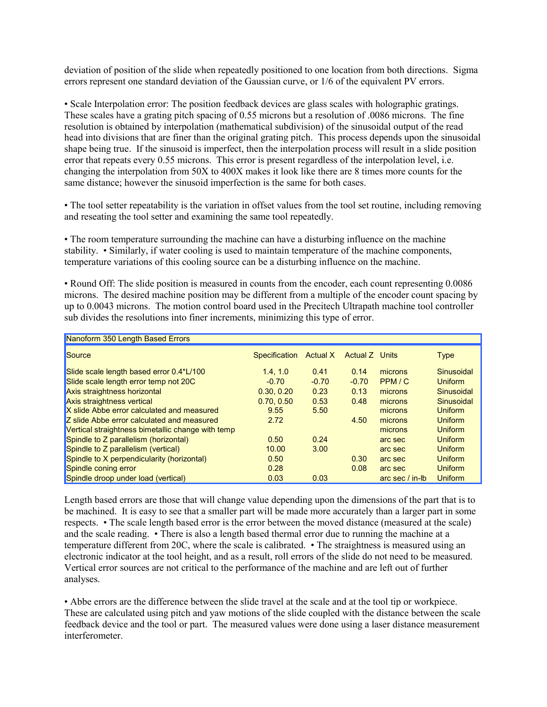deviation of position of the slide when repeatedly positioned to one location from both directions. Sigma errors represent one standard deviation of the Gaussian curve, or 1/6 of the equivalent PV errors.

• Scale Interpolation error: The position feedback devices are glass scales with holographic gratings. These scales have a grating pitch spacing of 0.55 microns but a resolution of .0086 microns. The fine resolution is obtained by interpolation (mathematical subdivision) of the sinusoidal output of the read head into divisions that are finer than the original grating pitch. This process depends upon the sinusoidal shape being true. If the sinusoid is imperfect, then the interpolation process will result in a slide position error that repeats every 0.55 microns. This error is present regardless of the interpolation level, i.e. changing the interpolation from 50X to 400X makes it look like there are 8 times more counts for the same distance; however the sinusoid imperfection is the same for both cases.

• The tool setter repeatability is the variation in offset values from the tool set routine, including removing and reseating the tool setter and examining the same tool repeatedly.

• The room temperature surrounding the machine can have a disturbing influence on the machine stability. • Similarly, if water cooling is used to maintain temperature of the machine components, temperature variations of this cooling source can be a disturbing influence on the machine.

• Round Off: The slide position is measured in counts from the encoder, each count representing 0.0086 microns. The desired machine position may be different from a multiple of the encoder count spacing by up to 0.0043 microns. The motion control board used in the Precitech Ultrapath machine tool controller sub divides the resolutions into finer increments, minimizing this type of error.

| Nanoform 350 Length Based Errors                  |                      |                 |                       |                 |                |  |
|---------------------------------------------------|----------------------|-----------------|-----------------------|-----------------|----------------|--|
| Source                                            | <b>Specification</b> | <b>Actual X</b> | <b>Actual Z</b> Units |                 | <b>Type</b>    |  |
| Slide scale length based error 0.4*L/100          | 1.4.1.0              | 0.41            | 0.14                  | microns         | Sinusoidal     |  |
| Slide scale length error temp not 20C             | $-0.70$              | $-0.70$         | $-0.70$               | PPM/C           | <b>Uniform</b> |  |
| Axis straightness horizontal                      | 0.30.0.20            | 0.23            | 0.13                  | microns         | Sinusoidal     |  |
| Axis straightness vertical                        | 0.70, 0.50           | 0.53            | 0.48                  | microns         | Sinusoidal     |  |
| X slide Abbe error calculated and measured        | 9.55                 | 5.50            |                       | microns         | <b>Uniform</b> |  |
| <b>Z</b> slide Abbe error calculated and measured | 2.72                 |                 | 4.50                  | microns         | <b>Uniform</b> |  |
| Vertical straightness bimetallic change with temp |                      |                 |                       | microns         | <b>Uniform</b> |  |
| Spindle to Z parallelism (horizontal)             | 0.50                 | 0.24            |                       | arc sec         | <b>Uniform</b> |  |
| Spindle to Z parallelism (vertical)               | 10.00                | 3.00            |                       | arc sec         | Uniform        |  |
| Spindle to X perpendicularity (horizontal)        | 0.50                 |                 | 0.30                  | arc sec         | <b>Uniform</b> |  |
| Spindle coning error                              | 0.28                 |                 | 0.08                  | arc sec         | <b>Uniform</b> |  |
| Spindle droop under load (vertical)               | 0.03                 | 0.03            |                       | arc sec / in-lb | <b>Uniform</b> |  |

Length based errors are those that will change value depending upon the dimensions of the part that is to be machined. It is easy to see that a smaller part will be made more accurately than a larger part in some respects. • The scale length based error is the error between the moved distance (measured at the scale) and the scale reading. • There is also a length based thermal error due to running the machine at a temperature different from 20C, where the scale is calibrated. • The straightness is measured using an electronic indicator at the tool height, and as a result, roll errors of the slide do not need to be measured. Vertical error sources are not critical to the performance of the machine and are left out of further analyses.

• Abbe errors are the difference between the slide travel at the scale and at the tool tip or workpiece. These are calculated using pitch and yaw motions of the slide coupled with the distance between the scale feedback device and the tool or part. The measured values were done using a laser distance measurement interferometer.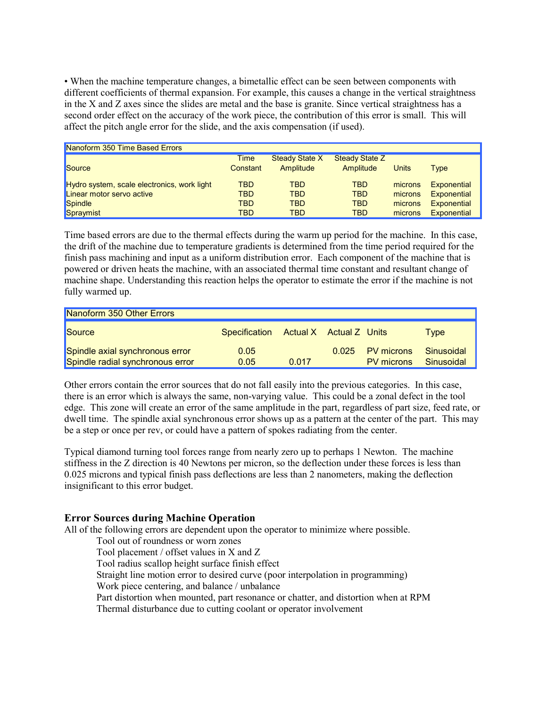• When the machine temperature changes, a bimetallic effect can be seen between components with different coefficients of thermal expansion. For example, this causes a change in the vertical straightness in the X and Z axes since the slides are metal and the base is granite. Since vertical straightness has a second order effect on the accuracy of the work piece, the contribution of this error is small. This will affect the pitch angle error for the slide, and the axis compensation (if used).

| Nanoform 350 Time Based Errors              |                  |                             |                                    |         |                    |  |
|---------------------------------------------|------------------|-----------------------------|------------------------------------|---------|--------------------|--|
| Source                                      | Time<br>Constant | Steady State X<br>Amplitude | <b>Steady State Z</b><br>Amplitude | Units   | Type               |  |
| Hydro system, scale electronics, work light | <b>TBD</b>       | <b>TBD</b>                  | <b>TBD</b>                         | microns | <b>Exponential</b> |  |
| Linear motor servo active                   | <b>TBD</b>       | <b>TBD</b>                  | <b>TBD</b>                         | microns | <b>Exponential</b> |  |
| Spindle                                     | <b>TBD</b>       | <b>TBD</b>                  | <b>TBD</b>                         | microns | <b>Exponential</b> |  |
| Spraymist                                   | <b>TBD</b>       | TBD                         | <b>TBD</b>                         | microns | <b>Exponential</b> |  |

Time based errors are due to the thermal effects during the warm up period for the machine. In this case, the drift of the machine due to temperature gradients is determined from the time period required for the finish pass machining and input as a uniform distribution error. Each component of the machine that is powered or driven heats the machine, with an associated thermal time constant and resultant change of machine shape. Understanding this reaction helps the operator to estimate the error if the machine is not fully warmed up.

| Nanoform 350 Other Errors                                           |                                       |       |       |                                 |                          |
|---------------------------------------------------------------------|---------------------------------------|-------|-------|---------------------------------|--------------------------|
| Source                                                              | Specification Actual X Actual Z Units |       |       |                                 | Type                     |
| Spindle axial synchronous error<br>Spindle radial synchronous error | 0.05<br>0.05                          | 0.017 | 0.025 | PV microns<br><b>PV</b> microns | Sinusoidal<br>Sinusoidal |

Other errors contain the error sources that do not fall easily into the previous categories. In this case, there is an error which is always the same, non-varying value. This could be a zonal defect in the tool edge. This zone will create an error of the same amplitude in the part, regardless of part size, feed rate, or dwell time. The spindle axial synchronous error shows up as a pattern at the center of the part. This may be a step or once per rev, or could have a pattern of spokes radiating from the center.

Typical diamond turning tool forces range from nearly zero up to perhaps 1 Newton. The machine stiffness in the Z direction is 40 Newtons per micron, so the deflection under these forces is less than 0.025 microns and typical finish pass deflections are less than 2 nanometers, making the deflection insignificant to this error budget.

# **Error Sources during Machine Operation**

All of the following errors are dependent upon the operator to minimize where possible.

Tool out of roundness or worn zones Tool placement / offset values in X and Z Tool radius scallop height surface finish effect Straight line motion error to desired curve (poor interpolation in programming) Work piece centering, and balance / unbalance Part distortion when mounted, part resonance or chatter, and distortion when at RPM Thermal disturbance due to cutting coolant or operator involvement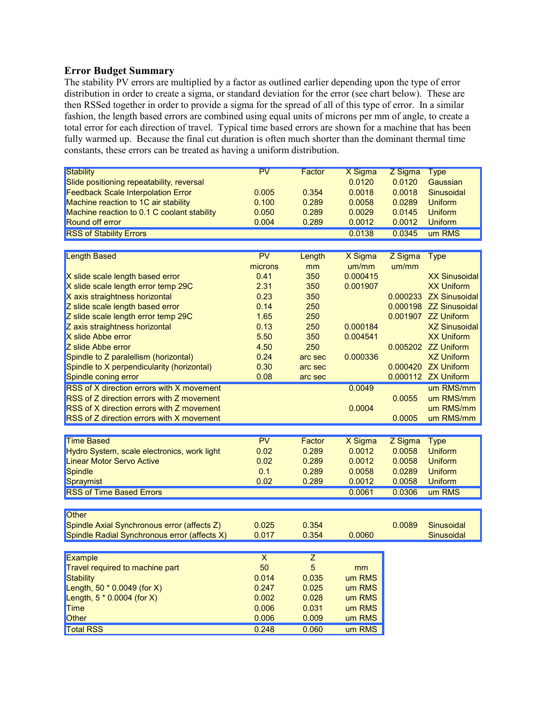#### **Error Budget Summary**

The stability PV errors are multiplied by a factor as outlined earlier depending upon the type of error distribution in order to create a sigma, or standard deviation for the error (see chart below). These are then RSSed together in order to provide a sigma for the spread of all of this type of error. In a similar fashion, the length based errors are combined using equal units of microns per mm of angle, to create a total error for each direction of travel. Typical time based errors are shown for a machine that has been fully warmed up. Because the final cut duration is often much shorter than the dominant thermal time constants, these errors can be treated as having a uniform distribution.

| <b>Stability</b>                             | PV                      | Factor         | X Sigma  | Z Sigma | <b>Type</b>            |
|----------------------------------------------|-------------------------|----------------|----------|---------|------------------------|
| Slide positioning repeatability, reversal    |                         |                | 0.0120   | 0.0120  | Gaussian               |
| <b>Feedback Scale Interpolation Error</b>    | 0.005                   | 0.354          | 0.0018   | 0.0018  | Sinusoidal             |
| Machine reaction to 1C air stability         | 0.100                   | 0.289          | 0.0058   | 0.0289  | <b>Uniform</b>         |
| Machine reaction to 0.1 C coolant stability  | 0.050                   | 0.289          | 0.0029   | 0.0145  | <b>Uniform</b>         |
| Round off error                              | 0.004                   | 0.289          | 0.0012   | 0.0012  | <b>Uniform</b>         |
| <b>RSS of Stability Errors</b>               |                         |                | 0.0138   | 0.0345  | um RMS                 |
|                                              |                         |                |          |         |                        |
| <b>Length Based</b>                          | PV                      | Length         | X Sigma  | Z Sigma | <b>Type</b>            |
|                                              | microns                 | mm             | um/mm    | um/mm   |                        |
| X slide scale length based error             | 0.41                    | 350            | 0.000415 |         | <b>XX Sinusoidal</b>   |
| X slide scale length error temp 29C          | 2.31                    | 350            | 0.001907 |         | <b>XX Uniform</b>      |
| X axis straightness horizontal               | 0.23                    | 350            |          |         | 0.000233 ZX Sinusoidal |
| Z slide scale length based error             | 0.14                    | 250            |          |         | 0.000198 ZZ Sinusoidal |
| Z slide scale length error temp 29C          | 1.65                    | 250            |          |         | 0.001907 ZZ Uniform    |
| Z axis straightness horizontal               | 0.13                    | 250            | 0.000184 |         | <b>XZ Sinusoidal</b>   |
| X slide Abbe error                           | 5.50                    | 350            | 0.004541 |         | <b>XX Uniform</b>      |
| Z slide Abbe error                           | 4.50                    | 250            |          |         | 0.005202 ZZ Uniform    |
| Spindle to Z paralellism (horizontal)        | 0.24                    | arc sec        | 0.000336 |         | <b>XZ Uniform</b>      |
| Spindle to X perpendicularity (horizontal)   | 0.30                    | arc sec        |          |         | 0.000420 ZX Uniform    |
| Spindle coning error                         | 0.08                    | arc sec        |          |         | 0.000112 ZX Uniform    |
| RSS of X direction errors with X movement    |                         |                | 0.0049   |         | um RMS/mm              |
| RSS of Z direction errors with Z movement    |                         |                |          | 0.0055  | um RMS/mm              |
| RSS of X direction errors with Z movement    |                         |                | 0.0004   |         | um RMS/mm              |
| RSS of Z direction errors with X movement    |                         |                |          | 0.0005  | um RMS/mm              |
|                                              |                         |                |          |         |                        |
| <b>Time Based</b>                            | PV                      | Factor         | X Sigma  | Z Sigma | <b>Type</b>            |
| Hydro System, scale electronics, work light  | 0.02                    | 0.289          | 0.0012   | 0.0058  | <b>Uniform</b>         |
| <b>Linear Motor Servo Active</b>             | 0.02                    | 0.289          | 0.0012   | 0.0058  | <b>Uniform</b>         |
|                                              | 0.1                     | 0.289          | 0.0058   | 0.0289  | <b>Uniform</b>         |
| <b>Spindle</b>                               | 0.02                    | 0.289          | 0.0012   | 0.0058  | <b>Uniform</b>         |
| Spraymist                                    |                         |                |          |         |                        |
| <b>RSS of Time Based Errors</b>              |                         |                | 0.0061   | 0.0306  | um RMS                 |
|                                              |                         |                |          |         |                        |
| <b>Other</b>                                 |                         |                |          |         |                        |
| Spindle Axial Synchronous error (affects Z)  | 0.025                   | 0.354          |          | 0.0089  | Sinusoidal             |
| Spindle Radial Synchronous error (affects X) | 0.017                   | 0.354          | 0.0060   |         | Sinusoidal             |
|                                              |                         |                |          |         |                        |
| <b>Example</b>                               | $\overline{\mathsf{x}}$ | $\overline{Z}$ |          |         |                        |
| Travel required to machine part              | 50                      | $\overline{5}$ | mm       |         |                        |
| <b>Stability</b>                             | 0.014                   | 0.035          | um RMS   |         |                        |
| Length, $50 * 0.0049$ (for X)                | 0.247                   | 0.025          | um RMS   |         |                        |
| Length, $5 * 0.0004$ (for X)                 | 0.002                   | 0.028          | um RMS   |         |                        |
| <b>Time</b>                                  | 0.006                   | 0.031          | um RMS   |         |                        |
| Other                                        | 0.006                   | 0.009          | um RMS   |         |                        |
| <b>Total RSS</b>                             | 0.248                   | 0.060          | um RMS   |         |                        |